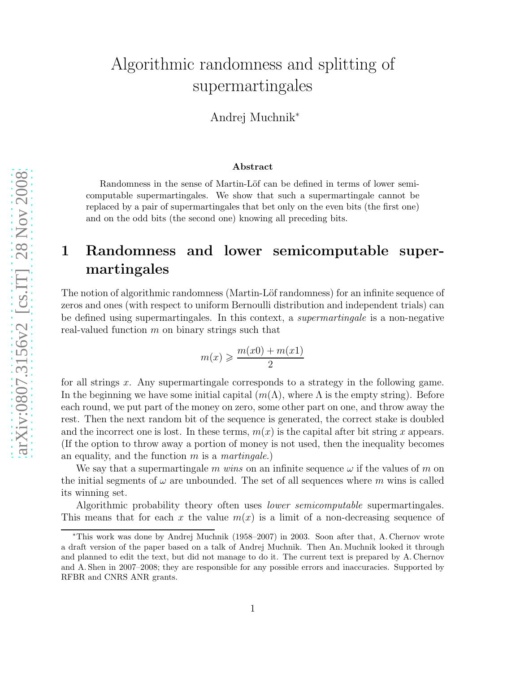# Algorithmic randomness and splitting of supermartingales

Andrej Muchnik<sup>∗</sup>

#### Abstract

Randomness in the sense of Martin-Löf can be defined in terms of lower semicomputable supermartingales. We show that such a supermartingale cannot be replaced by a pair of supermartingales that bet only on the even bits (the first one) and on the odd bits (the second one) knowing all preceding bits.

# 1 Randomness and lower semicomputable supermartingales

The notion of algorithmic randomness (Martin-Löf randomness) for an infinite sequence of zeros and ones (with respect to uniform Bernoulli distribution and independent trials) can be defined using supermartingales. In this context, a *supermartingale* is a non-negative real-valued function  $m$  on binary strings such that

$$
m(x) \geqslant \frac{m(x0) + m(x1)}{2}
$$

for all strings  $x$ . Any supermartingale corresponds to a strategy in the following game. In the beginning we have some initial capital  $(m(\Lambda))$ , where  $\Lambda$  is the empty string). Before each round, we put part of the money on zero, some other part on one, and throw away the rest. Then the next random bit of the sequence is generated, the correct stake is doubled and the incorrect one is lost. In these terms,  $m(x)$  is the capital after bit string x appears. (If the option to throw away a portion of money is not used, then the inequality becomes an equality, and the function m is a *martingale*.)

We say that a supermartingale m wins on an infinite sequence  $\omega$  if the values of m on the initial segments of  $\omega$  are unbounded. The set of all sequences where m wins is called its winning set.

Algorithmic probability theory often uses *lower semicomputable* supermartingales. This means that for each x the value  $m(x)$  is a limit of a non-decreasing sequence of

<sup>∗</sup>This work was done by Andrej Muchnik (1958–2007) in 2003. Soon after that, A. Chernov wrote a draft version of the paper based on a talk of Andrej Muchnik. Then An. Muchnik looked it through and planned to edit the text, but did not manage to do it. The current text is prepared by A. Chernov and A. Shen in 2007–2008; they are responsible for any possible errors and inaccuracies. Supported by RFBR and CNRS ANR grants.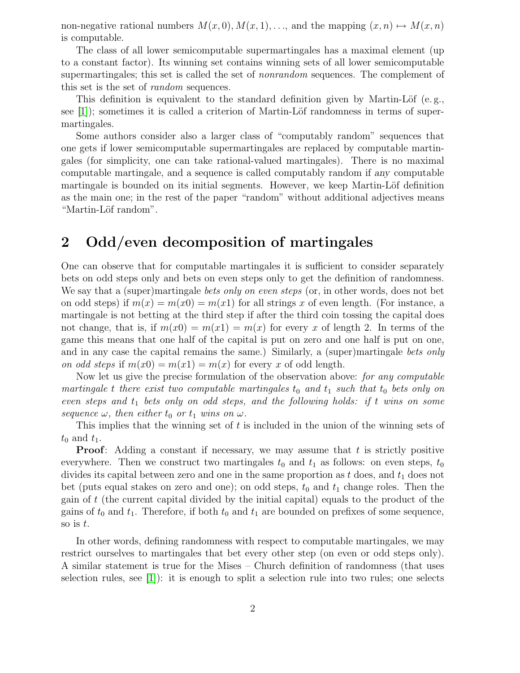non-negative rational numbers  $M(x, 0), M(x, 1), \ldots$ , and the mapping  $(x, n) \mapsto M(x, n)$ is computable.

The class of all lower semicomputable supermartingales has a maximal element (up to a constant factor). Its winning set contains winning sets of all lower semicomputable supermartingales; this set is called the set of *nonrandom* sequences. The complement of this set is the set of *random* sequences.

This definition is equivalent to the standard definition given by Martin-Löf (e.g., see  $[1]$ ; sometimes it is called a criterion of Martin-Löf randomness in terms of supermartingales.

Some authors consider also a larger class of "computably random" sequences that one gets if lower semicomputable supermartingales are replaced by computable martingales (for simplicity, one can take rational-valued martingales). There is no maximal computable martingale, and a sequence is called computably random if any computable martingale is bounded on its initial segments. However, we keep Martin-Löf definition as the main one; in the rest of the paper "random" without additional adjectives means "Martin-Löf random".

## 2 Odd/even decomposition of martingales

One can observe that for computable martingales it is sufficient to consider separately bets on odd steps only and bets on even steps only to get the definition of randomness. We say that a (super)martingale *bets only on even steps* (or, in other words, does not bet on odd steps) if  $m(x) = m(x0) = m(x1)$  for all strings x of even length. (For instance, a martingale is not betting at the third step if after the third coin tossing the capital does not change, that is, if  $m(x0) = m(x1) = m(x)$  for every x of length 2. In terms of the game this means that one half of the capital is put on zero and one half is put on one, and in any case the capital remains the same.) Similarly, a (super)martingale *bets only on odd steps* if  $m(x0) = m(x1) = m(x)$  for every x of odd length.

Now let us give the precise formulation of the observation above: *for any computable martingale* t there exist two computable martingales  $t_0$  and  $t_1$  such that  $t_0$  bets only on *even steps and*  $t_1$  *bets only on odd steps, and the following holds: if* t *wins on some sequence*  $\omega$ *, then either*  $t_0$  *or*  $t_1$  *wins on*  $\omega$ *.* 

This implies that the winning set of t is included in the union of the winning sets of  $t_0$  and  $t_1$ .

**Proof:** Adding a constant if necessary, we may assume that  $t$  is strictly positive everywhere. Then we construct two martingales  $t_0$  and  $t_1$  as follows: on even steps,  $t_0$ divides its capital between zero and one in the same proportion as t does, and  $t_1$  does not bet (puts equal stakes on zero and one); on odd steps,  $t_0$  and  $t_1$  change roles. Then the gain of t (the current capital divided by the initial capital) equals to the product of the gains of  $t_0$  and  $t_1$ . Therefore, if both  $t_0$  and  $t_1$  are bounded on prefixes of some sequence, so is  $t$ .

In other words, defining randomness with respect to computable martingales, we may restrict ourselves to martingales that bet every other step (on even or odd steps only). A similar statement is true for the Mises – Church definition of randomness (that uses selection rules, see  $|1|$ : it is enough to split a selection rule into two rules; one selects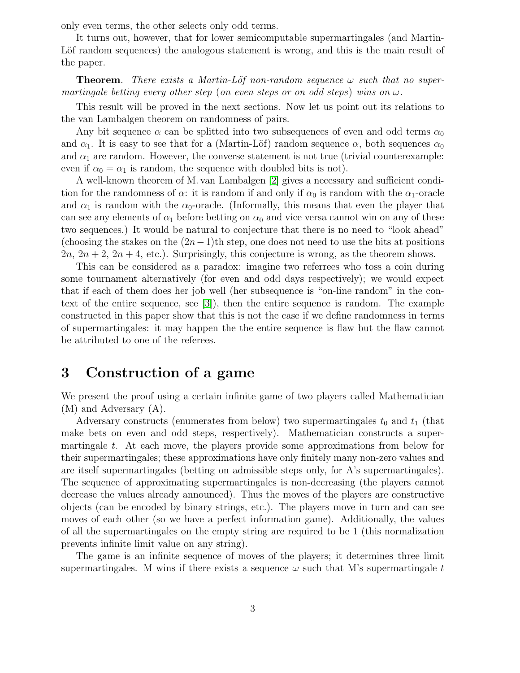only even terms, the other selects only odd terms.

It turns out, however, that for lower semicomputable supermartingales (and Martin-Lot random sequences) the analogous statement is wrong, and this is the main result of the paper.

**Theorem.** *There exists a Martin-Löf non-random sequence*  $\omega$  *such that no supermartingale betting every other step* (*on even steps or on odd steps*) *wins on* ω*.*

This result will be proved in the next sections. Now let us point out its relations to the van Lambalgen theorem on randomness of pairs.

Any bit sequence  $\alpha$  can be splitted into two subsequences of even and odd terms  $\alpha_0$ and  $\alpha_1$ . It is easy to see that for a (Martin-Löf) random sequence  $\alpha$ , both sequences  $\alpha_0$ and  $\alpha_1$  are random. However, the converse statement is not true (trivial counterexample: even if  $\alpha_0 = \alpha_1$  is random, the sequence with doubled bits is not).

A well-known theorem of M. van Lambalgen [\[2\]](#page-26-1) gives a necessary and sufficient condition for the randomness of  $\alpha$ : it is random if and only if  $\alpha_0$  is random with the  $\alpha_1$ -oracle and  $\alpha_1$  is random with the  $\alpha_0$ -oracle. (Informally, this means that even the player that can see any elements of  $\alpha_1$  before betting on  $\alpha_0$  and vice versa cannot win on any of these two sequences.) It would be natural to conjecture that there is no need to "look ahead" (choosing the stakes on the  $(2n-1)$ th step, one does not need to use the bits at positions  $2n, 2n + 2, 2n + 4$ , etc.). Surprisingly, this conjecture is wrong, as the theorem shows.

This can be considered as a paradox: imagine two referrees who toss a coin during some tournament alternatively (for even and odd days respectively); we would expect that if each of them does her job well (her subsequence is "on-line random" in the context of the entire sequence, see [\[3\]](#page-26-2)), then the entire sequence is random. The example constructed in this paper show that this is not the case if we define randomness in terms of supermartingales: it may happen the the entire sequence is flaw but the flaw cannot be attributed to one of the referees.

## 3 Construction of a game

We present the proof using a certain infinite game of two players called Mathematician (M) and Adversary (A).

Adversary constructs (enumerates from below) two supermartingales  $t_0$  and  $t_1$  (that make bets on even and odd steps, respectively). Mathematician constructs a supermartingale t. At each move, the players provide some approximations from below for their supermartingales; these approximations have only finitely many non-zero values and are itself supermartingales (betting on admissible steps only, for A's supermartingales). The sequence of approximating supermartingales is non-decreasing (the players cannot decrease the values already announced). Thus the moves of the players are constructive objects (can be encoded by binary strings, etc.). The players move in turn and can see moves of each other (so we have a perfect information game). Additionally, the values of all the supermartingales on the empty string are required to be 1 (this normalization prevents infinite limit value on any string).

The game is an infinite sequence of moves of the players; it determines three limit supermartingales. M wins if there exists a sequence  $\omega$  such that M's supermartingale t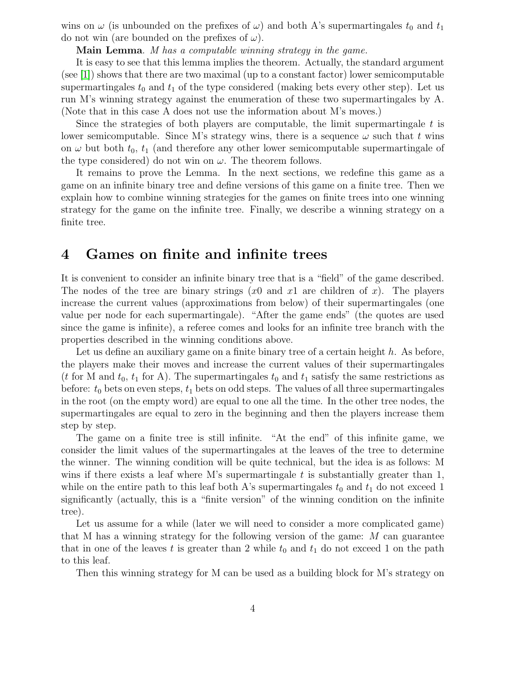wins on  $\omega$  (is unbounded on the prefixes of  $\omega$ ) and both A's supermartingales  $t_0$  and  $t_1$ do not win (are bounded on the prefixes of  $\omega$ ).

Main Lemma. *M has a computable winning strategy in the game.*

It is easy to see that this lemma implies the theorem. Actually, the standard argument (see [\[1\]](#page-26-0)) shows that there are two maximal (up to a constant factor) lower semicomputable supermartingales  $t_0$  and  $t_1$  of the type considered (making bets every other step). Let us run M's winning strategy against the enumeration of these two supermartingales by A. (Note that in this case A does not use the information about M's moves.)

Since the strategies of both players are computable, the limit supermartingale  $t$  is lower semicomputable. Since M's strategy wins, there is a sequence  $\omega$  such that t wins on  $\omega$  but both  $t_0$ ,  $t_1$  (and therefore any other lower semicomputable supermartingale of the type considered) do not win on  $\omega$ . The theorem follows.

It remains to prove the Lemma. In the next sections, we redefine this game as a game on an infinite binary tree and define versions of this game on a finite tree. Then we explain how to combine winning strategies for the games on finite trees into one winning strategy for the game on the infinite tree. Finally, we describe a winning strategy on a finite tree.

### 4 Games on finite and infinite trees

It is convenient to consider an infinite binary tree that is a "field" of the game described. The nodes of the tree are binary strings  $(x_0$  and  $x_1$  are children of x). The players increase the current values (approximations from below) of their supermartingales (one value per node for each supermartingale). "After the game ends" (the quotes are used since the game is infinite), a referee comes and looks for an infinite tree branch with the properties described in the winning conditions above.

Let us define an auxiliary game on a finite binary tree of a certain height  $h$ . As before, the players make their moves and increase the current values of their supermartingales (t for M and  $t_0$ ,  $t_1$  for A). The supermartingales  $t_0$  and  $t_1$  satisfy the same restrictions as before:  $t_0$  bets on even steps,  $t_1$  bets on odd steps. The values of all three supermartingales in the root (on the empty word) are equal to one all the time. In the other tree nodes, the supermartingales are equal to zero in the beginning and then the players increase them step by step.

The game on a finite tree is still infinite. "At the end" of this infinite game, we consider the limit values of the supermartingales at the leaves of the tree to determine the winner. The winning condition will be quite technical, but the idea is as follows: M wins if there exists a leaf where M's supermartingale  $t$  is substantially greater than 1, while on the entire path to this leaf both A's supermartingales  $t_0$  and  $t_1$  do not exceed 1 significantly (actually, this is a "finite version" of the winning condition on the infinite tree).

Let us assume for a while (later we will need to consider a more complicated game) that M has a winning strategy for the following version of the game: M can guarantee that in one of the leaves t is greater than 2 while  $t_0$  and  $t_1$  do not exceed 1 on the path to this leaf.

Then this winning strategy for M can be used as a building block for M's strategy on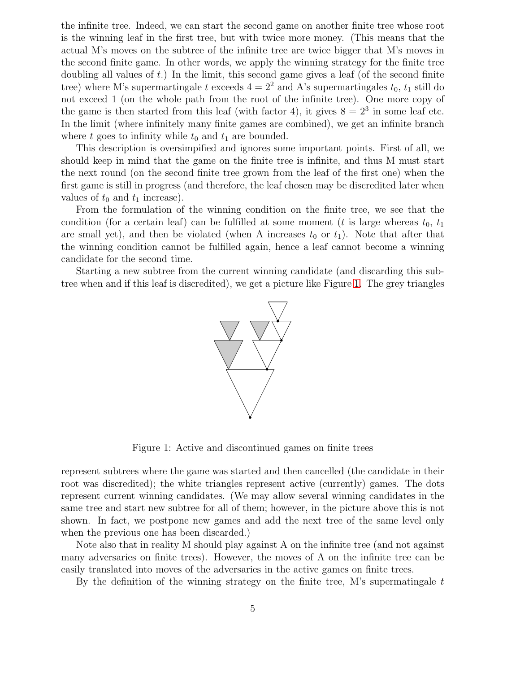the infinite tree. Indeed, we can start the second game on another finite tree whose root is the winning leaf in the first tree, but with twice more money. (This means that the actual M's moves on the subtree of the infinite tree are twice bigger that M's moves in the second finite game. In other words, we apply the winning strategy for the finite tree doubling all values of  $t$ .) In the limit, this second game gives a leaf (of the second finite tree) where M's supermartingale t exceeds  $4 = 2^2$  and A's supermartingales  $t_0$ ,  $t_1$  still do not exceed 1 (on the whole path from the root of the infinite tree). One more copy of the game is then started from this leaf (with factor 4), it gives  $8 = 2^3$  in some leaf etc. In the limit (where infinitely many finite games are combined), we get an infinite branch where t goes to infinity while  $t_0$  and  $t_1$  are bounded.

This description is oversimpified and ignores some important points. First of all, we should keep in mind that the game on the finite tree is infinite, and thus M must start the next round (on the second finite tree grown from the leaf of the first one) when the first game is still in progress (and therefore, the leaf chosen may be discredited later when values of  $t_0$  and  $t_1$  increase).

From the formulation of the winning condition on the finite tree, we see that the condition (for a certain leaf) can be fulfilled at some moment (t is large whereas  $t_0$ ,  $t_1$ are small yet), and then be violated (when A increases  $t_0$  or  $t_1$ ). Note that after that the winning condition cannot be fulfilled again, hence a leaf cannot become a winning candidate for the second time.

Starting a new subtree from the current winning candidate (and discarding this subtree when and if this leaf is discredited), we get a picture like Figure [1.](#page-18-0) The grey triangles



Figure 1: Active and discontinued games on finite trees

represent subtrees where the game was started and then cancelled (the candidate in their root was discredited); the white triangles represent active (currently) games. The dots represent current winning candidates. (We may allow several winning candidates in the same tree and start new subtree for all of them; however, in the picture above this is not shown. In fact, we postpone new games and add the next tree of the same level only when the previous one has been discarded.)

Note also that in reality M should play against A on the infinite tree (and not against many adversaries on finite trees). However, the moves of A on the infinite tree can be easily translated into moves of the adversaries in the active games on finite trees.

By the definition of the winning strategy on the finite tree, M's supermatingale  $t$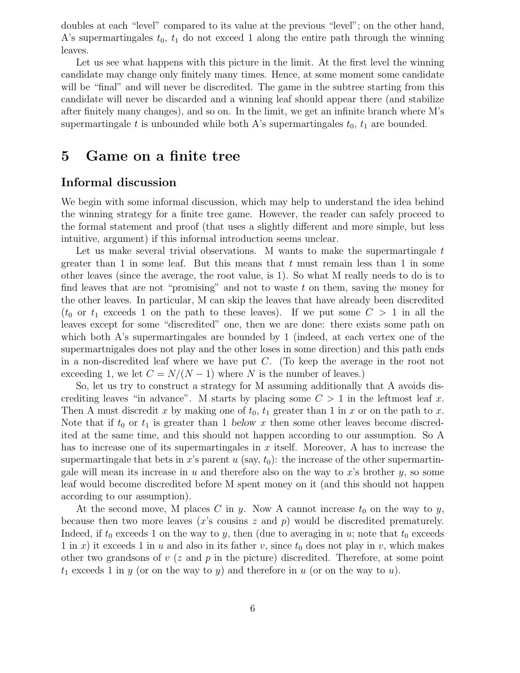doubles at each "level" compared to its value at the previous "level"; on the other hand, A's supermartingales  $t_0$ ,  $t_1$  do not exceed 1 along the entire path through the winning leaves.

Let us see what happens with this picture in the limit. At the first level the winning candidate may change only finitely many times. Hence, at some moment some candidate will be "final" and will never be discredited. The game in the subtree starting from this candidate will never be discarded and a winning leaf should appear there (and stabilize after finitely many changes), and so on. In the limit, we get an infinite branch where M's supermartingale t is unbounded while both A's supermartingales  $t_0$ ,  $t_1$  are bounded.

### 5 Game on a finite tree

### Informal discussion

We begin with some informal discussion, which may help to understand the idea behind the winning strategy for a finite tree game. However, the reader can safely proceed to the formal statement and proof (that uses a slightly different and more simple, but less intuitive, argument) if this informal introduction seems unclear.

Let us make several trivial observations. M wants to make the supermartingale  $t$ greater than 1 in some leaf. But this means that  $t$  must remain less than 1 in some other leaves (since the average, the root value, is 1). So what M really needs to do is to find leaves that are not "promising" and not to waste t on them, saving the money for the other leaves. In particular, M can skip the leaves that have already been discredited  $(t_0$  or  $t_1$  exceeds 1 on the path to these leaves). If we put some  $C > 1$  in all the leaves except for some "discredited" one, then we are done: there exists some path on which both A's supermartingales are bounded by 1 (indeed, at each vertex one of the supermartnigales does not play and the other loses in some direction) and this path ends in a non-discredited leaf where we have put  $C$ . (To keep the average in the root not exceeding 1, we let  $C = N/(N-1)$  where N is the number of leaves.)

So, let us try to construct a strategy for M assuming additionally that A avoids discrediting leaves "in advance". M starts by placing some  $C > 1$  in the leftmost leaf x. Then A must discredit x by making one of  $t_0$ ,  $t_1$  greater than 1 in x or on the path to x. Note that if  $t_0$  or  $t_1$  is greater than 1 below x then some other leaves become discredited at the same time, and this should not happen according to our assumption. So A has to increase one of its supermartingales in  $x$  itself. Moreover, A has to increase the supermartingale that bets in x's parent u (say,  $t_0$ ): the increase of the other supermartingale will mean its increase in  $u$  and therefore also on the way to  $x$ 's brother  $y$ , so some leaf would become discredited before M spent money on it (and this should not happen according to our assumption).

At the second move, M places C in y. Now A cannot increase  $t_0$  on the way to y, because then two more leaves  $(x's$  cousins z and  $p)$  would be discredited prematurely. Indeed, if  $t_0$  exceeds 1 on the way to y, then (due to averaging in u; note that  $t_0$  exceeds 1 in x) it exceeds 1 in u and also in its father v, since  $t_0$  does not play in v, which makes other two grandsons of  $v$  (z and p in the picture) discredited. Therefore, at some point  $t_1$  exceeds 1 in y (or on the way to y) and therefore in u (or on the way to u).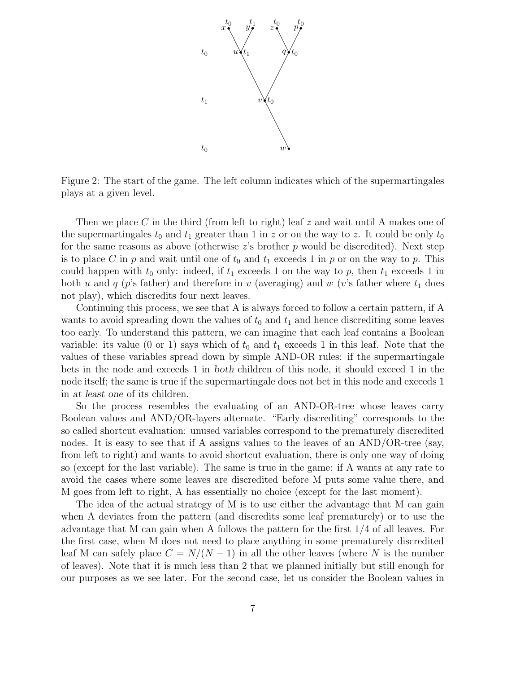

Figure 2: The start of the game. The left column indicates which of the supermartingales plays at a given level.

Then we place C in the third (from left to right) leaf z and wait until A makes one of the supermartingales  $t_0$  and  $t_1$  greater than 1 in z or on the way to z. It could be only  $t_0$ for the same reasons as above (otherwise  $z$ 's brother  $p$  would be discredited). Next step is to place C in p and wait until one of  $t_0$  and  $t_1$  exceeds 1 in p or on the way to p. This could happen with  $t_0$  only: indeed, if  $t_1$  exceeds 1 on the way to p, then  $t_1$  exceeds 1 in both u and q (p's father) and therefore in v (averaging) and w (v's father where  $t_1$  does not play), which discredits four next leaves.

Continuing this process, we see that A is always forced to follow a certain pattern, if A wants to avoid spreading down the values of  $t_0$  and  $t_1$  and hence discrediting some leaves too early. To understand this pattern, we can imagine that each leaf contains a Boolean variable: its value (0 or 1) says which of  $t_0$  and  $t_1$  exceeds 1 in this leaf. Note that the values of these variables spread down by simple AND-OR rules: if the supermartingale bets in the node and exceeds 1 in both children of this node, it should exceed 1 in the node itself; the same is true if the supermartingale does not bet in this node and exceeds 1 in at least one of its children.

So the process resembles the evaluating of an AND-OR-tree whose leaves carry Boolean values and AND/OR-layers alternate. "Early discrediting" corresponds to the so called shortcut evaluation: unused variables correspond to the prematurely discredited nodes. It is easy to see that if A assigns values to the leaves of an AND/OR-tree (say, from left to right) and wants to avoid shortcut evaluation, there is only one way of doing so (except for the last variable). The same is true in the game: if A wants at any rate to avoid the cases where some leaves are discredited before M puts some value there, and M goes from left to right, A has essentially no choice (except for the last moment).

The idea of the actual strategy of M is to use either the advantage that M can gain when A deviates from the pattern (and discredits some leaf prematurely) or to use the advantage that M can gain when A follows the pattern for the first 1/4 of all leaves. For the first case, when M does not need to place anything in some prematurely discredited leaf M can safely place  $C = N/(N-1)$  in all the other leaves (where N is the number of leaves). Note that it is much less than 2 that we planned initially but still enough for our purposes as we see later. For the second case, let us consider the Boolean values in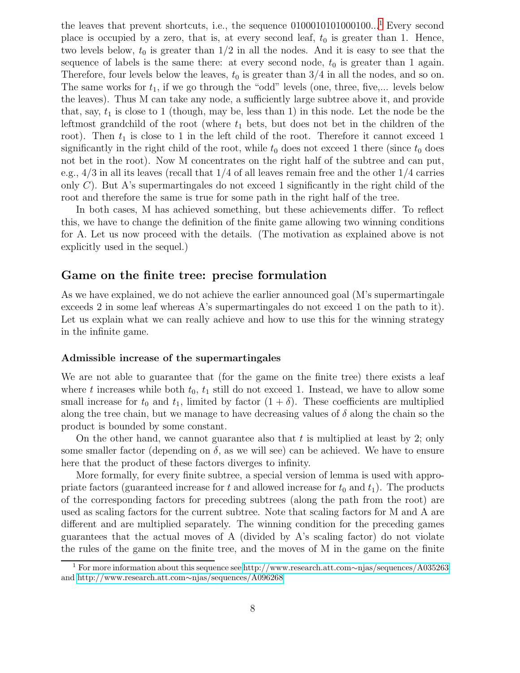the leaves that prevent shortcuts, i.e., the sequence  $0100010101000100...$  $0100010101000100...$  $0100010101000100...$ <sup>1</sup> Every second place is occupied by a zero, that is, at every second leaf,  $t_0$  is greater than 1. Hence, two levels below,  $t_0$  is greater than  $1/2$  in all the nodes. And it is easy to see that the sequence of labels is the same there: at every second node,  $t_0$  is greater than 1 again. Therefore, four levels below the leaves,  $t_0$  is greater than  $3/4$  in all the nodes, and so on. The same works for  $t_1$ , if we go through the "odd" levels (one, three, five,... levels below the leaves). Thus M can take any node, a sufficiently large subtree above it, and provide that, say,  $t_1$  is close to 1 (though, may be, less than 1) in this node. Let the node be the leftmost grandchild of the root (where  $t_1$  bets, but does not bet in the children of the root). Then  $t_1$  is close to 1 in the left child of the root. Therefore it cannot exceed 1 significantly in the right child of the root, while  $t_0$  does not exceed 1 there (since  $t_0$  does not bet in the root). Now M concentrates on the right half of the subtree and can put, e.g.,  $4/3$  in all its leaves (recall that  $1/4$  of all leaves remain free and the other  $1/4$  carries only  $C$ ). But A's supermartingales do not exceed 1 significantly in the right child of the root and therefore the same is true for some path in the right half of the tree.

In both cases, M has achieved something, but these achievements differ. To reflect this, we have to change the definition of the finite game allowing two winning conditions for A. Let us now proceed with the details. (The motivation as explained above is not explicitly used in the sequel.)

### Game on the finite tree: precise formulation

As we have explained, we do not achieve the earlier announced goal (M's supermartingale exceeds 2 in some leaf whereas A's supermartingales do not exceed 1 on the path to it). Let us explain what we can really achieve and how to use this for the winning strategy in the infinite game.

#### Admissible increase of the supermartingales

We are not able to guarantee that (for the game on the finite tree) there exists a leaf where t increases while both  $t_0$ ,  $t_1$  still do not exceed 1. Instead, we have to allow some small increase for  $t_0$  and  $t_1$ , limited by factor  $(1 + \delta)$ . These coefficients are multiplied along the tree chain, but we manage to have decreasing values of  $\delta$  along the chain so the product is bounded by some constant.

On the other hand, we cannot guarantee also that  $t$  is multiplied at least by 2; only some smaller factor (depending on  $\delta$ , as we will see) can be achieved. We have to ensure here that the product of these factors diverges to infinity.

More formally, for every finite subtree, a special version of lemma is used with appropriate factors (guaranteed increase for t and allowed increase for  $t_0$  and  $t_1$ ). The products of the corresponding factors for preceding subtrees (along the path from the root) are used as scaling factors for the current subtree. Note that scaling factors for M and A are different and are multiplied separately. The winning condition for the preceding games guarantees that the actual moves of A (divided by A's scaling factor) do not violate the rules of the game on the finite tree, and the moves of M in the game on the finite

<sup>1</sup> For more information about this sequence see [http://www.research.att.com](http://www.research.att.com~njas/sequences/A035263)∼njas/sequences/A035263 and [http://www.research.att.com](http://www.research.att.com~njas/sequences/A096268)∼njas/sequences/A096268.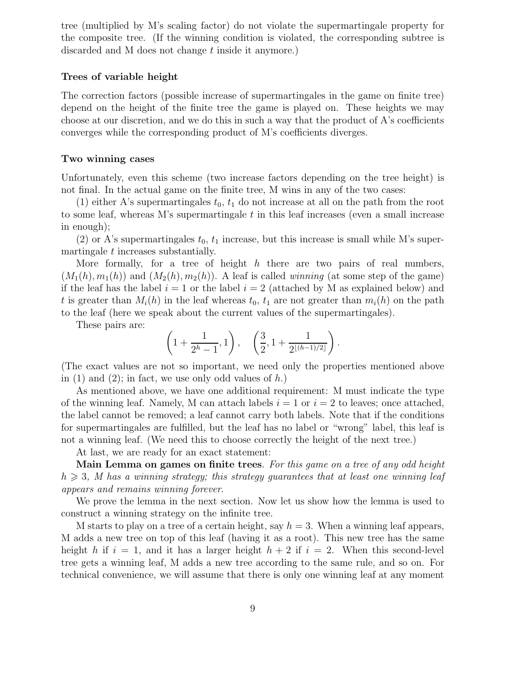tree (multiplied by M's scaling factor) do not violate the supermartingale property for the composite tree. (If the winning condition is violated, the corresponding subtree is discarded and M does not change t inside it anymore.)

#### Trees of variable height

The correction factors (possible increase of supermartingales in the game on finite tree) depend on the height of the finite tree the game is played on. These heights we may choose at our discretion, and we do this in such a way that the product of A's coefficients converges while the corresponding product of M's coefficients diverges.

#### Two winning cases

Unfortunately, even this scheme (two increase factors depending on the tree height) is not final. In the actual game on the finite tree, M wins in any of the two cases:

(1) either A's supermartingales  $t_0$ ,  $t_1$  do not increase at all on the path from the root to some leaf, whereas M's supermartingale t in this leaf increases (even a small increase in enough);

(2) or A's supermartingales  $t_0$ ,  $t_1$  increase, but this increase is small while M's supermartingale  $t$  increases substantially.

More formally, for a tree of height h there are two pairs of real numbers,  $(M_1(h), m_1(h))$  and  $(M_2(h), m_2(h))$ . A leaf is called *winning* (at some step of the game) if the leaf has the label  $i = 1$  or the label  $i = 2$  (attached by M as explained below) and t is greater than  $M_i(h)$  in the leaf whereas  $t_0$ ,  $t_1$  are not greater than  $m_i(h)$  on the path to the leaf (here we speak about the current values of the supermartingales).

These pairs are:

$$
\left(1+\frac{1}{2^h-1},1\right), \quad \left(\frac{3}{2},1+\frac{1}{2^{\lfloor (h-1)/2 \rfloor}}\right).
$$

(The exact values are not so important, we need only the properties mentioned above in  $(1)$  and  $(2)$ ; in fact, we use only odd values of h.)

As mentioned above, we have one additional requirement: M must indicate the type of the winning leaf. Namely, M can attach labels  $i = 1$  or  $i = 2$  to leaves; once attached, the label cannot be removed; a leaf cannot carry both labels. Note that if the conditions for supermartingales are fulfilled, but the leaf has no label or "wrong" label, this leaf is not a winning leaf. (We need this to choose correctly the height of the next tree.)

At last, we are ready for an exact statement:

Main Lemma on games on finite trees. *For this game on a tree of any odd height*  $h \geq 3$ , M has a winning strategy; this strategy guarantees that at least one winning leaf *appears and remains winning forever*.

We prove the lemma in the next section. Now let us show how the lemma is used to construct a winning strategy on the infinite tree.

M starts to play on a tree of a certain height, say  $h = 3$ . When a winning leaf appears, M adds a new tree on top of this leaf (having it as a root). This new tree has the same height h if  $i = 1$ , and it has a larger height  $h + 2$  if  $i = 2$ . When this second-level tree gets a winning leaf, M adds a new tree according to the same rule, and so on. For technical convenience, we will assume that there is only one winning leaf at any moment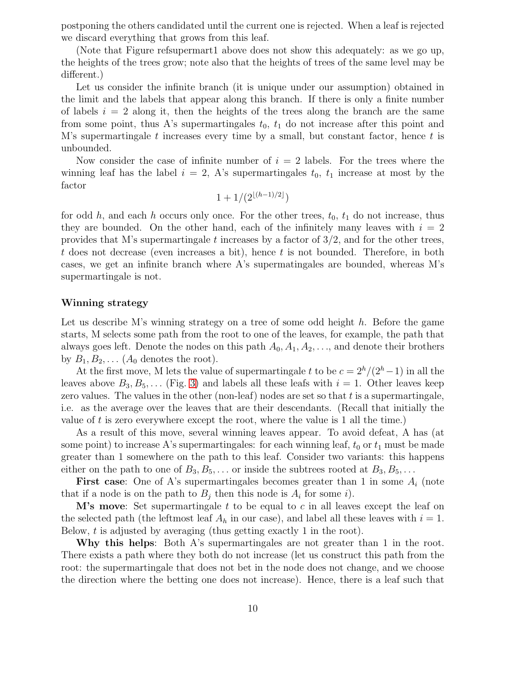postponing the others candidated until the current one is rejected. When a leaf is rejected we discard everything that grows from this leaf.

(Note that Figure refsupermart1 above does not show this adequately: as we go up, the heights of the trees grow; note also that the heights of trees of the same level may be different.)

Let us consider the infinite branch (it is unique under our assumption) obtained in the limit and the labels that appear along this branch. If there is only a finite number of labels  $i = 2$  along it, then the heights of the trees along the branch are the same from some point, thus A's supermartingales  $t_0$ ,  $t_1$  do not increase after this point and M's supermartingale t increases every time by a small, but constant factor, hence t is unbounded.

Now consider the case of infinite number of  $i = 2$  labels. For the trees where the winning leaf has the label  $i = 2$ , A's supermartingales  $t_0$ ,  $t_1$  increase at most by the factor

$$
1 + 1/(2^{\lfloor (h-1)/2 \rfloor})
$$

for odd h, and each h occurs only once. For the other trees,  $t_0$ ,  $t_1$  do not increase, thus they are bounded. On the other hand, each of the infinitely many leaves with  $i = 2$ provides that M's supermartingale t increases by a factor of  $3/2$ , and for the other trees,  $t$  does not decrease (even increases a bit), hence  $t$  is not bounded. Therefore, in both cases, we get an infinite branch where A's supermatingales are bounded, whereas M's supermartingale is not.

#### Winning strategy

Let us describe M's winning strategy on a tree of some odd height  $h$ . Before the game starts, M selects some path from the root to one of the leaves, for example, the path that always goes left. Denote the nodes on this path  $A_0, A_1, A_2, \ldots$ , and denote their brothers by  $B_1, B_2, \ldots$  ( $A_0$  denotes the root).

At the first move, M lets the value of supermartingale t to be  $c = 2<sup>h</sup>/(2<sup>h</sup> - 1)$  in all the leaves above  $B_3, B_5, \ldots$  (Fig. [3\)](#page-23-0) and labels all these leafs with  $i = 1$ . Other leaves keep zero values. The values in the other (non-leaf) nodes are set so that  $t$  is a supermartingale, i.e. as the average over the leaves that are their descendants. (Recall that initially the value of  $t$  is zero everywhere except the root, where the value is 1 all the time.)

As a result of this move, several winning leaves appear. To avoid defeat, A has (at some point) to increase A's supermartingales: for each winning leaf,  $t_0$  or  $t_1$  must be made greater than 1 somewhere on the path to this leaf. Consider two variants: this happens either on the path to one of  $B_3, B_5, \ldots$  or inside the subtrees rooted at  $B_3, B_5, \ldots$ 

**First case:** One of A's supermartingales becomes greater than 1 in some  $A_i$  (note that if a node is on the path to  $B_j$  then this node is  $A_i$  for some i.

**M's move**: Set supermartingale t to be equal to c in all leaves except the leaf on the selected path (the leftmost leaf  $A_h$  in our case), and label all these leaves with  $i = 1$ . Below,  $t$  is adjusted by averaging (thus getting exactly 1 in the root).

Why this helps: Both A's supermartingales are not greater than 1 in the root. There exists a path where they both do not increase (let us construct this path from the root: the supermartingale that does not bet in the node does not change, and we choose the direction where the betting one does not increase). Hence, there is a leaf such that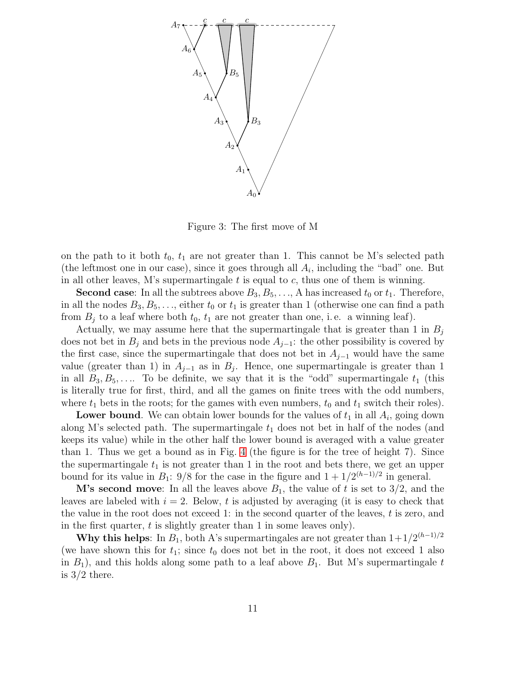

Figure 3: The first move of M

on the path to it both  $t_0$ ,  $t_1$  are not greater than 1. This cannot be M's selected path (the leftmost one in our case), since it goes through all  $A_i$ , including the "bad" one. But in all other leaves, M's supermartingale  $t$  is equal to  $c$ , thus one of them is winning.

**Second case:** In all the subtrees above  $B_3, B_5, \ldots, A$  has increased  $t_0$  or  $t_1$ . Therefore, in all the nodes  $B_3, B_5, \ldots$ , either  $t_0$  or  $t_1$  is greater than 1 (otherwise one can find a path from  $B_i$  to a leaf where both  $t_0$ ,  $t_1$  are not greater than one, i.e. a winning leaf).

Actually, we may assume here that the supermartingale that is greater than 1 in  $B_i$ does not bet in  $B_i$  and bets in the previous node  $A_{i-1}$ : the other possibility is covered by the first case, since the supermartingale that does not bet in  $A_{j-1}$  would have the same value (greater than 1) in  $A_{j-1}$  as in  $B_j$ . Hence, one supermartingale is greater than 1 in all  $B_3, B_5, \ldots$  To be definite, we say that it is the "odd" supermartingale  $t_1$  (this is literally true for first, third, and all the games on finite trees with the odd numbers, where  $t_1$  bets in the roots; for the games with even numbers,  $t_0$  and  $t_1$  switch their roles).

**Lower bound**. We can obtain lower bounds for the values of  $t_1$  in all  $A_i$ , going down along M's selected path. The supermartingale  $t_1$  does not bet in half of the nodes (and keeps its value) while in the other half the lower bound is averaged with a value greater than 1. Thus we get a bound as in Fig. [4](#page-24-0) (the figure is for the tree of height 7). Since the supermartingale  $t_1$  is not greater than 1 in the root and bets there, we get an upper bound for its value in  $B_1$ : 9/8 for the case in the figure and  $1 + 1/2^{(h-1)/2}$  in general.

**M's second move**: In all the leaves above  $B_1$ , the value of t is set to 3/2, and the leaves are labeled with  $i = 2$ . Below, t is adjusted by averaging (it is easy to check that the value in the root does not exceed 1: in the second quarter of the leaves,  $t$  is zero, and in the first quarter,  $t$  is slightly greater than 1 in some leaves only).

**Why this helps:** In  $B_1$ , both A's supermartingales are not greater than  $1+1/2^{(h-1)/2}$ (we have shown this for  $t_1$ ; since  $t_0$  does not bet in the root, it does not exceed 1 also in  $B_1$ ), and this holds along some path to a leaf above  $B_1$ . But M's supermartingale t is  $3/2$  there.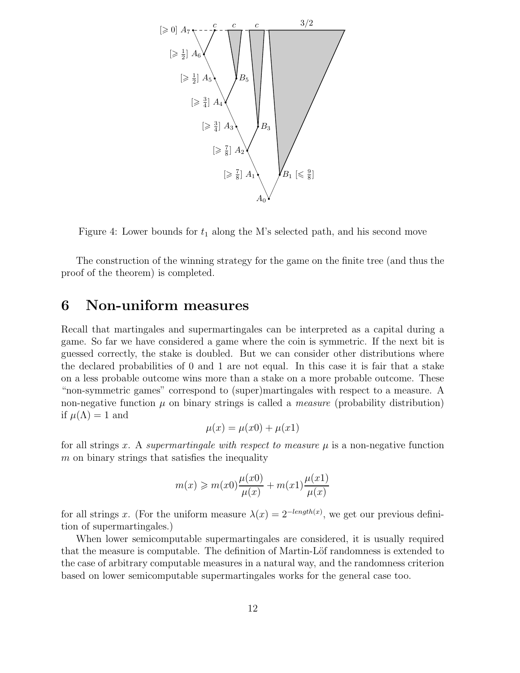

Figure 4: Lower bounds for  $t_1$  along the M's selected path, and his second move

The construction of the winning strategy for the game on the finite tree (and thus the proof of the theorem) is completed.

# 6 Non-uniform measures

Recall that martingales and supermartingales can be interpreted as a capital during a game. So far we have considered a game where the coin is symmetric. If the next bit is guessed correctly, the stake is doubled. But we can consider other distributions where the declared probabilities of 0 and 1 are not equal. In this case it is fair that a stake on a less probable outcome wins more than a stake on a more probable outcome. These "non-symmetric games" correspond to (super)martingales with respect to a measure. A non-negative function  $\mu$  on binary strings is called a *measure* (probability distribution) if  $\mu(\Lambda) = 1$  and

$$
\mu(x) = \mu(x0) + \mu(x1)
$$

for all strings x. A *supermartingale with respect to measure*  $\mu$  is a non-negative function  $m$  on binary strings that satisfies the inequality

$$
m(x) \ge m(x0)\frac{\mu(x0)}{\mu(x)} + m(x1)\frac{\mu(x1)}{\mu(x)}
$$

for all strings x. (For the uniform measure  $\lambda(x) = 2^{-length(x)}$ , we get our previous definition of supermartingales.)

When lower semicomputable supermartingales are considered, it is usually required that the measure is computable. The definition of Martin-Löf randomness is extended to the case of arbitrary computable measures in a natural way, and the randomness criterion based on lower semicomputable supermartingales works for the general case too.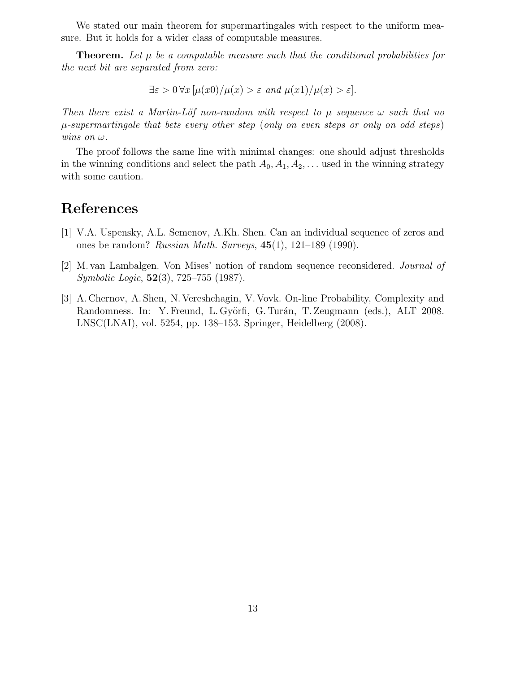We stated our main theorem for supermartingales with respect to the uniform measure. But it holds for a wider class of computable measures.

**Theorem.** Let  $\mu$  be a computable measure such that the conditional probabilities for *the next bit are separated from zero:*

 $\exists \varepsilon > 0 \forall x \left[ \mu(x0) / \mu(x) > \varepsilon \text{ and } \mu(x1) / \mu(x) > \varepsilon \right].$ 

*Then there exist a Martin-Löf non-random with respect to*  $\mu$  *sequence*  $\omega$  *such that no* µ*-supermartingale that bets every other step* (*only on even steps or only on odd steps*) *wins on*  $\omega$ *.* 

The proof follows the same line with minimal changes: one should adjust thresholds in the winning conditions and select the path  $A_0, A_1, A_2, \ldots$  used in the winning strategy with some caution.

## References

- [1] V.A. Uspensky, A.L. Semenov, A.Kh. Shen. Can an individual sequence of zeros and ones be random? *Russian Math. Surveys*, 45(1), 121–189 (1990).
- [2] M. van Lambalgen. Von Mises' notion of random sequence reconsidered. *Journal of Symbolic Logic*, 52(3), 725–755 (1987).
- [3] A. Chernov, A. Shen, N. Vereshchagin, V. Vovk. On-line Probability, Complexity and Randomness. In: Y. Freund, L. Györfi, G. Turán, T. Zeugmann (eds.), ALT 2008. LNSC(LNAI), vol. 5254, pp. 138–153. Springer, Heidelberg (2008).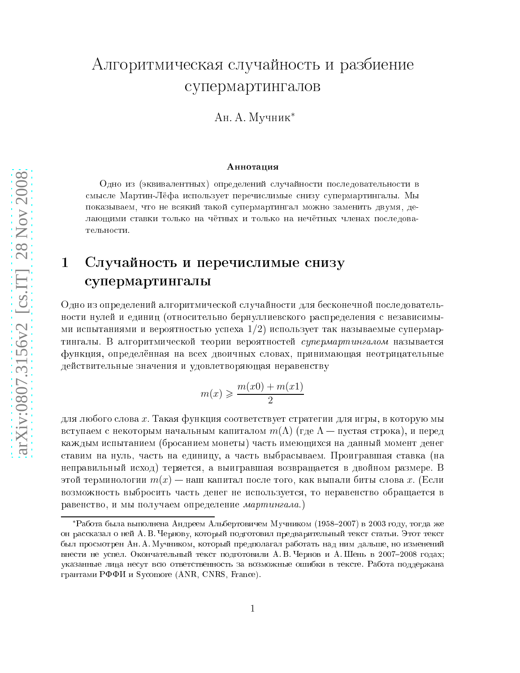# Алгоритмическая случайность и разбиение супермартингалов

Ан. А. Мучник<sup>\*</sup>

#### Аннотация

Одно из (эквивалентных) определений случайности последовательности в смысле Мартин-Лёфа использует перечислимые снизу супермартингалы. Мы показываем, что не всякий такой супермартингал можно заменить двумя, делающими ставки только на чётных и только на нечётных членах последовательности.

# 1 Случайность и перечислимые снизу супермартингалы

Одно из определений алгоритмической случайности для бесконечной последовательности нулей и единиц (относительно бернуллиевского распределения с независимыми испытаниями и вероятностью успеха  $1/2$ ) использует так называемые супермартингалы. В алгоритмической теории вероятностей *супермартингалом* называется функция, определённая на всех двоичных словах, принимающая неотрицательные действительные значения и удовлетворяющая неравенству

$$
m(x) \geqslant \frac{m(x0) + m(x1)}{2}
$$

для любого слова х. Такая функция соответствует стратегии для игры, в которую мы вступаем с некоторым начальным капиталом  $m(\Lambda)$  (где  $\Lambda$  — пустая строка), и перед каждым испытанием (бросанием монеты) часть имеющихся на данный момент денег ставим на нуль, часть на единицу, а часть выбрасываем. Проигравшая ставка (на неправильный исход) теряется, а выигравшая возвращается в двойном размере. В этой терминологии  $m(x)$  — наш капитал после того, как выпали биты слова x. (Если возможность выбросить часть денег не используется, то неравенство обращается в равенство, и мы получаем определение мартингала.)

<sup>\*</sup>Работа была выполнена Андреем Альбертовичем Мучником (1958–2007) в 2003 году, тогда же он рассказал о ней А. В. Чернову, который подготовил предварительный текст статьи. Этот текст был просмотрен Ан. А. Мучником, который предполагал работать над ним дальше, но изменений внести не успел. Окончательный текст подготовили А. В. Чернов и А. Шень в 2007-2008 годах; указанные лица несут всю ответственность за возможные ошибки в тексте. Работа поддержана грантами РФФИ и Sycomore (ANR, CNRS, France).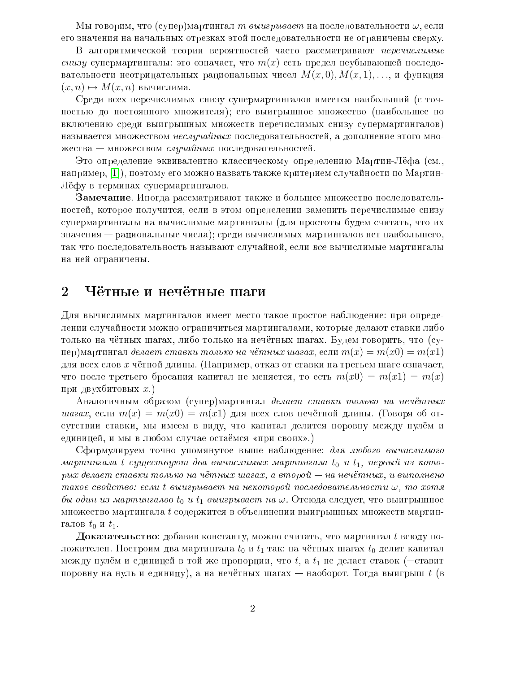Мы говорим, что (супер)мартингал *т выигрывает* на последовательности  $\omega$ , если его значения на начальных отрезках этой последовательности не ограничены сверху.

В алгоритмической теории вероятностей часто рассматривают перечислимые *снизу* супермартингалы: это означает, что  $m(x)$  есть предел неубывающей последовательности неотрицательных рациональных чисел  $M(x, 0), M(x, 1), \ldots$ , и функция  $(x, n) \mapsto M(x, n)$  вычислима.

Среди всех перечислимых снизу супермартингалов имеется наибольший (с точностью до постоянного множителя); его выигрышное множество (наибольшее по включению среди выигрышных множеств перечислимых снизу супермартингалов) называется множеством неслучайных последовательностей, а дополнение этого множества — множеством случайных последовательностей.

Это определение эквивалентно классическому определению Мартин-Лёфа (см.. например, [1]), поэтому его можно назвать также критерием случайности по Мартин-Лёфу в терминах супермартингалов.

Замечание. Иногда рассматривают также и большее множество последовательностей, которое получится, если в этом определении заменить перечислимые снизу супермартингалы на вычислимые мартингалы (для простоты будем считать, что их значения — рациональные числа); среди вычислимых мартингалов нет наибольшего, так что последовательность называют случайной, если все вычислимые мартингалы на ней ограничены.

#### $\overline{2}$ Чётные и нечётные шаги

Для вычислимых мартингалов имеет место такое простое наблюдение: при определении случайности можно ограничиться мартингалами, которые делают ставки либо только на чётных шагах, либо только на нечётных шагах. Будем говорить, что (супер)мартингал делает ставки только на чётных шагах, если  $m(x) = m(x0) = m(x1)$ для всех слов  $x$  чётной длины. (Например, отказ от ставки на третьем шаге означает, что после третьего бросания капитал не меняется, то есть  $m(x0) = m(x1) = m(x)$ при двухбитовых  $x$ .)

Аналогичным образом (супер)мартингал делает ставки только на нечётных *шагах*, если  $m(x) = m(x0) = m(x1)$  для всех слов нечётной длины. (Говоря об отсутствии ставки, мы имеем в виду, что капитал делится поровну между нулём и единицей, и мы в любом случае остаёмся «при своих».)

Сформулируем точно упомянутое выше наблюдение: для любого вычислимого мартингала t существуют два вычислимых мартингала  $t_0$  и  $t_1$ , первый из которых делает ставки только на чётных шагах, а второй - на нечётных, и выполнено такое свойство: если t выигрывает на некоторой последовательности  $\omega$ , то хотя бы один из мартингалов  $t_0$  и  $t_1$  выигрывает на  $\omega$ . Отсюда следует, что выигрышное множество мартингала  $t$  содержится в объединении выигрышных множеств мартингалов  $t_0$  и  $t_1$ .

**Доказательство**: добавив константу, можно считать, что мартингал  $t$  всюду положителен. Построим два мартингала  $t_0$  и  $t_1$  так: на чётных шагах  $t_0$  делит капитал между нулём и единицей в той же пропорции, что t, а  $t_1$  не делает ставок (=ставит поровну на нуль и единицу), а на нечётных шагах — наоборот. Тогда выигрыш  $t$  (в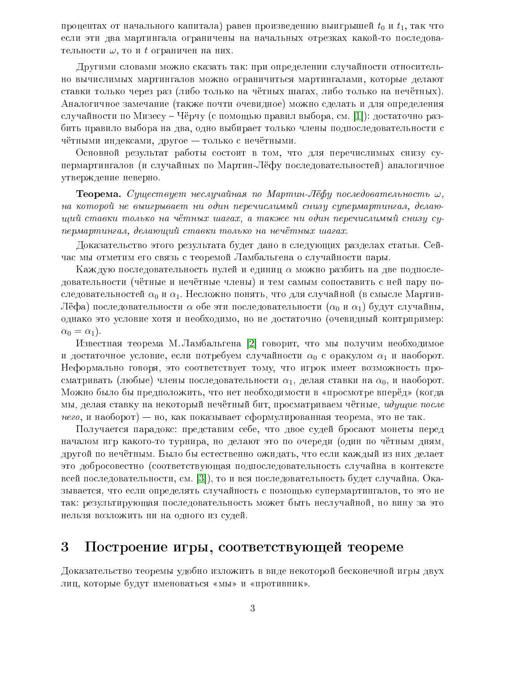процентах от начального капитала) равен произведению выигрышей  $t_0$  и  $t_1$ , так что если эти два мартингала ограничены на начальных отрезках какой-то последовательности  $\omega$ , то и t ограничен на них.

Другими словами можно сказать так: при определении случайности относительно вычислимых мартингалов можно ограничиться мартингалами, которые делают ставки только через раз (либо только на чётных шагах, либо только на нечётных). Аналогичное замечание (также почти очевидное) можно сделать и для определения случайности по Мизесу – Чёрчу (с помощью правил выбора, см. [1]): достаточно разбить правило выбора на два, одно выбирает только члены подпоследовательности с чётными индексами, другое - только с нечётными.

Основной результат работы состоит в том, что для перечислимых снизу супермартингалов (и случайных по Мартин-Лёфу последовательностей) аналогичное утверждение неверно.

**Теорема.** Существует неслучайная по Мартин-Лёфу последовательность  $\omega$ , на которой не выигрывает ни один перечислимый снизу супермартингал, делающий ставки только на чётных шагах, а также ни один перечислимый снизу супермартингал, делающий ставки только на нечётных шагах.

Доказательство этого результата будет дано в следующих разделах статьи. Сейчас мы отметим его связь с теоремой Ламбальгена о случайности пары.

Каждую последовательность нулей и единиц  $\alpha$  можно разбить на две подпоследовательности (чётные и нечётные члены) и тем самым сопоставить с ней пару последовательностей  $\alpha_0$  и  $\alpha_1$ . Несложно понять, что для случайной (в смысле Мартин-Лёфа) последовательности  $\alpha$  обе эти последовательности ( $\alpha_0$  и  $\alpha_1$ ) будут случайны, однако это условие хотя и необходимо, но не достаточно (очевидный контрпример:  $\alpha_0 = \alpha_1$ .

Известная теорема М. Ламбальгена [2] говорит, что мы получим необходимое и достаточное условие, если потребуем случайности  $\alpha_0$  с оракулом  $\alpha_1$  и наоборот. Неформально говоря, это соответствует тому, что игрок имеет возможность просматривать (любые) члены последовательности  $\alpha_1$ , делая ставки на  $\alpha_0$ , и наоборот. Можно было бы предположить, что нет необходимости в «просмотре вперёд» (когда мы, делая ставку на некоторый нечётный бит, просматриваем чётные, идущие после *него*, и наоборот) — но, как показывает сформулированная теорема, это не так.

Получается парадокс: представим себе, что двое судей бросают монеты перед началом игр какого-то турнира, но делают это по очереди (один по чётным дням, другой по нечётным. Было бы естественно ожидать, что если каждый из них делает это добросовестно (соответствующая подпоследовательность случайна в контексте всей последовательности, см. [3]), то и вся последовательность будет случайна. Оказывается, что если определять случайность с помощью супермартингалов, то это не так: результирующая последовательность может быть неслучайной, но вину за это нельзя возложить ни на одного из судей.

#### 3 Построение игры, соответствующей теореме

Доказательство теоремы удобно изложить в виде некоторой бесконечной игры двух лиц, которые будут именоваться «мы» и «противник».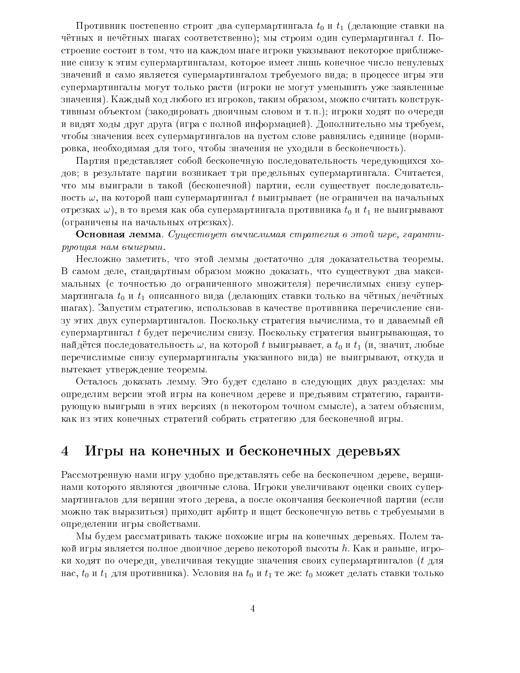Противник постепенно строит два супермартингала  $t_0$  и  $t_1$  (делающие ставки на чётных и нечётных шагах соответственно); мы строим один супермартингал  $t$ . Построение состоит в том, что на каждом шаге игроки указывают некоторое приближение снизу к этим супермартингалам, которое имеет лишь конечное число ненулевых значений и само является супермартингалом требуемого вида; в процессе игры эти супермартингалы могут только расти (игроки не могут уменьшить уже заявленные значения). Каждый ход любого из игроков, таким образом, можно считать конструктивным объектом (закодировать двоичным словом и т.п.); игроки ходят по очереди и видят ходы друг друга (игра с полной информацией). Дополнительно мы требуем, чтобы значения всех супермартингалов на пустом слове равнялись единице (нормировка, необходимая для того, чтобы значения не уходили в бесконечность).

Партия представляет собой бесконечную последовательность чередующихся ходов; в результате партии возникает три предельных супермартингала. Считается, что мы выиграли в такой (бесконечной) партии, если существует последовательность  $\omega$ , на которой наш супермартингал t выигрывает (не ограничен на начальных отрезках  $\omega$ ), в то время как оба супермартингала противника  $t_0$  и  $t_1$  не выигрывают (ограничены на начальных отрезках).

Основная лемма. Существует вычислимая стратегия в этой игре, гарантирующая нам выигрыш.

Несложно заметить, что этой леммы достаточно для доказательства теоремы. В самом деле, стандартным образом можно доказать, что существуют два максимальных (с точностью до ограниченного множителя) перечислимых снизу супермартингала  $t_0$  и  $t_1$  описанного вида (делающих ставки только на чётных/нечётных шагах). Запустим стратегию, использовав в качестве противника перечисление снизу этих двух супермартингалов. Поскольку стратегия вычислима, то и даваемый ей супермартингал t будет перечислим снизу. Поскольку стратегия выигрывающая, то найдётся последовательность  $\omega$ , на которой t выигрывает, а  $t_0$  и  $t_1$  (и, значит, любые перечислимые снизу супермартингалы указанного вида) не выигрывают, откуда и вытекает утверждение теоремы.

Осталось доказать лемму. Это будет сделано в следующих двух разделах: мы определим версии этой игры на конечном дереве и предъявим стратегию, гарантирующую выигрыш в этих версиях (в некотором точном смысле), а затем объясним, как из этих конечных стратегий собрать стратегию для бесконечной игры.

#### Игры на конечных и бесконечных деревьях  $\overline{4}$

Рассмотренную нами игру удобно представлять себе на бесконечном дереве, вершинами которого являются двоичные слова. Игроки увеличивают оценки своих супермартингалов для вершин этого дерева, а после окончания бесконечной партии (если можно так выразиться) приходит арбитр и ищет бесконечную ветвь с требуемыми в определении игры свойствами.

Мы будем рассматривать также похожие игры на конечных деревьях. Полем такой игры является полное двоичное дерево некоторой высоты h. Как и раньше, игроки ходят по очереди, увеличивая текущие значения своих супермартингалов ( $t$  для нас,  $t_0$  и  $t_1$  для противника). Условия на  $t_0$  и  $t_1$  те же:  $t_0$  может делать ставки только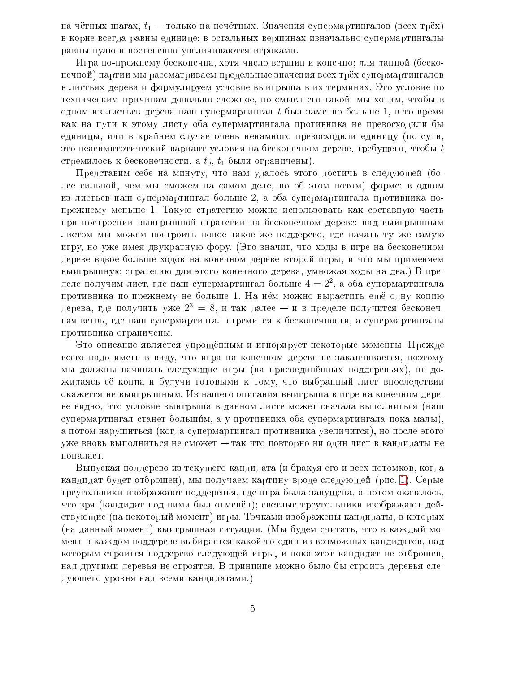на чётных шагах,  $t_1$  — только на нечётных. Значения супермартингалов (всех трёх) в корне всегда равны единице; в остальных вершинах изначально супермартингалы равны нулю и постепенно увеличиваются игроками.

Игра по-прежнему бесконечна, хотя число вершин и конечно; для данной (бесконечной) партии мы рассматриваем предельные значения всех трёх супермартингалов в листьях дерева и формулируем условие выигрыша в их терминах. Это условие по техническим причинам довольно сложное, но смысл его такой: мы хотим, чтобы в одном из листьев дерева наш супермартингал  $t$  был заметно больше 1, в то время как на пути к этому листу оба супермартингала противника не превосходили бы единицы, или в крайнем случае очень ненамного превосходили единицу (по сути, это неасимптотический вариант условия на бесконечном дереве, требущего, чтобы  $t$ стремилось к бесконечности, а  $t_0$ ,  $t_1$  были ограничены).

Представим себе на минуту, что нам удалось этого достичь в следующей (более сильной, чем мы сможем на самом деле, но об этом потом) форме: в одном из листьев наш супермартингал больше 2, а оба супермартингала противника попрежнему меньше 1. Такую стратегию можно использовать как составную часть при построении выигрышной стратегии на бесконечном дереве: над выигрышным листом мы можем построить новое такое же поддерево, где начать ту же самую игру, но уже имея двукратную фору. (Это значит, что ходы в игре на бесконечном дереве вдвое больше ходов на конечном дереве второй игры, и что мы применяем выигрышную стратегию для этого конечного дерева, умножая ходы на два.) В пределе получим лист, где наш супермартингал больше  $4 = 2^2$ , а оба супермартингала противника по-прежнему не больше 1. На нём можно вырастить ещё одну копию дерева, где получить уже  $2^3 = 8$ , и так далее — и в пределе получится бесконечная ветвь, где наш супермартингал стремится к бесконечности, а супермартингалы противника ограничены.

Это описание является упрощённым и игнорирует некоторые моменты. Прежде всего надо иметь в виду, что игра на конечном дереве не заканчивается, поэтому мы должны начинать следующие игры (на присоединённых поддеревьях), не дожидаясь её конца и будучи готовыми к тому, что выбранный лист впоследствии окажется не выигрышным. Из нашего описания выигрыша в игре на конечном дереве видно, что условие выигрыша в данном листе может сначала выполниться (наш супермартингал станет большим, а у противника оба супермартингала пока малы), а потом нарушиться (когда супермартингал противника увеличится), но после этого уже вновь выполниться не сможет - так что повторно ни один лист в кандидаты не попадает.

Выпуская поддерево из текущего кандидата (и бракуя его и всех потомков, когда кандидат будет отброшен), мы получаем картину вроде следующей (рис. 1). Серые треугольники изображают поддеревья, где игра была запущена, а потом оказалось, что зря (кандидат под ними был отменён); светлые треугольники изображают действующие (на некоторый момент) игры. Точками изображены кандидаты, в которых (на данный момент) выигрышная ситуация. (Мы будем считать, что в каждый момент в каждом поддереве выбирается какой-то один из возможных кандидатов, над которым строится поддерево следующей игры, и пока этот кандидат не отброшен, над другими деревья не строятся. В принципе можно было бы строить деревья следующего уровня над всеми кандидатами.)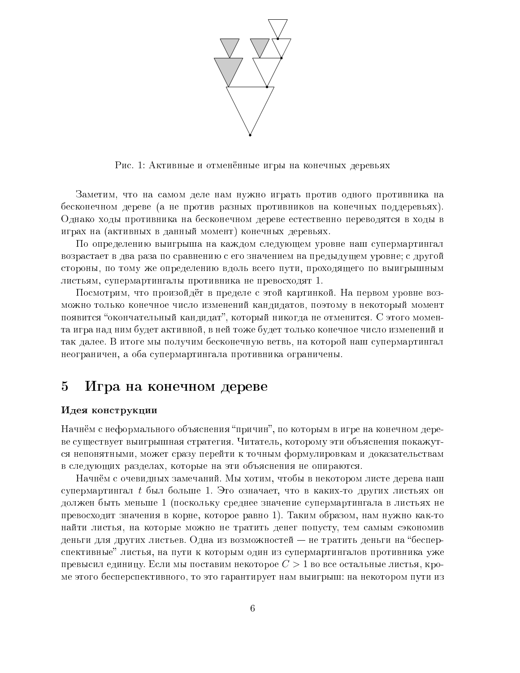

Рис. 1: Активные и отменённые игры на конечных деревьях

<span id="page-18-0"></span>Заметим, что на самом деле нам нужно играть против одного противника на бесконечном дереве (а не против разных противников на конечных поддеревьях). Однако ходы противника на бесконечном дереве естественно переводятся в ходы в играх на (активных в данный момент) конечных деревьях.

По определению выигрыша на каждом следующем уровне наш супермартингал возрастает в два раза по сравнению с его значением на предыдущем уровне; с другой стороны, по тому же определению вдоль всего пути, проходящего по выигрышным листьям, супермартингалы противника не превосходят 1.

Посмотрим, что произойдёт в пределе с этой картинкой. На первом уровне возможно только конечное число изменений кандидатов, поэтому в некоторый момент появится "окончательный кандидат", который никогда не отменится. С этого момента игра над ним будет активной, в нейтоже будет только конечное число изменений и так далее. В итоге мы получим бесконечную ветвь, на которой наш супермартингал неограничен, а оба супермартингала противника ограничены.

#### $\overline{5}$ Игра на конечном дереве

### Идея конструкции

Начнём с неформального объяснения "причин", по которым в игре на конечном дереве существует выигрышная стратегия. Читатель, которому эти объяснения покажутся непонятными, может сразу перейти к точным формулировкам и доказательствам в следующих разделах, которые на эти объяснения не опираются.

Начнём с очевидных замечаний. Мы хотим, чтобы в некотором листе дерева наш супермартингал t был больше 1. Это означает, что в каких-то других листьях он должен быть меньше 1 (поскольку среднее значение супермартингала в листьях не превосходит значения в корне, которое равно 1). Таким образом, нам нужно как-то найти листья, на которые можно не тратить денег попусту, тем самым сэкономив деньги для других листьев. Одна из возможностей – не тратить деньги на "бесперспективные" листья, на пути к которым один из супермартингалов противника уже превысил единицу. Если мы поставим некоторое  $C > 1$  во все остальные листья, кроме этого бесперспективного, то это гарантирует нам выигрыш: на некотором пути из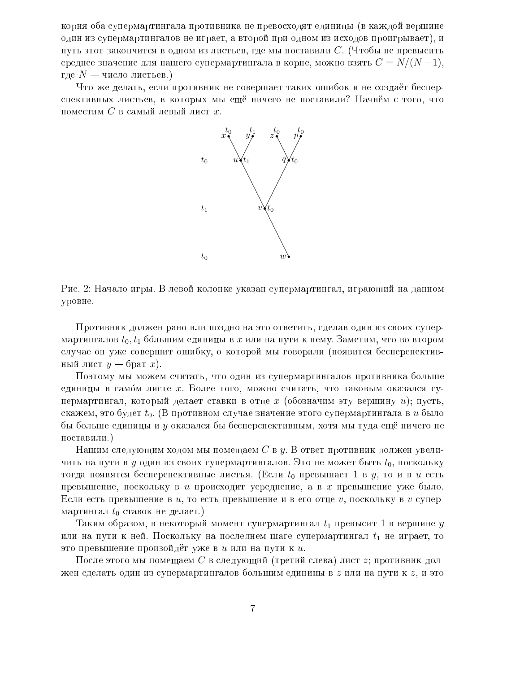корня оба супермартингала противника не превосходят единицы (в каждой вершине один из супермартингалов не играет, а второй при одном из исходов проигрывает), и путь этот закончится в одном из листьев, где мы поставили  $C$ . (Чтобы не превысить среднее значение для нашего супермартингала в корне, можно взять  $C = N/(N-1)$ , где  $N-$  число листьев.)

Что же делать, если противник не совершает таких ошибок и не создаёт бесперспективных листьев, в которых мы ещё ничего не поставили? Начнём с того, что поместим  $C$  в самый левый лист  $x$ .



Рис. 2: Начало игры. В левой колонке указан супермартингал, играющий на данном уровне.

Противник должен рано или поздно на это ответить, сделав один из своих супермартингалов  $t_0, t_1$  бо́льшим единицы в *х* или на пути к нему. Заметим, что во втором случае он уже совершит ошибку, о которой мы говорили (появится бесперспективный лист  $y$  – брат  $x$ ).

Поэтому мы можем считать, что один из супермартингалов противника больше единицы в самом листе  $x$ . Более того, можно считать, что таковым оказался супермартингал, который делает ставки в отце x (обозначим эту вершину u); пусть, скажем, это будет  $t_0$ . (В противном случае значение этого супермартингала в *и* было бы больше единицы и у оказался бы бесперспективным, хотя мы туда ещё ничего не поставили.)

Нашим следующим ходом мы помещаем С в  $y$ . В ответ противник должен увеличить на пути в  $y$  один из своих супермартингалов. Это не может быть  $t_0$ , поскольку тогда появятся бесперспективные листья. (Если  $t_0$  превышает 1 в  $y$ , то и в  $u$  есть превышение, поскольку в  $u$  происходит усреднение, а в  $x$  превышение уже было. Если есть превышение в  $u$ , то есть превышение и в его отце  $v$ , поскольку в  $v$  супермартингал  $t_0$  ставок не делает.)

Таким образом, в некоторый момент супермартингал  $t_1$  превысит 1 в вершине  $y$ или на пути к ней. Поскольку на последнем шаге супермартингал  $t_1$  не играет, то это превышение произойдёт уже в  $u$  или на пути к  $u$ .

После этого мы помещаем  $C$  в следующий (третий слева) лист  $z$ ; противник должен сделать один из супермартингалов большим единицы в  $z$  или на пути к  $z$ , и это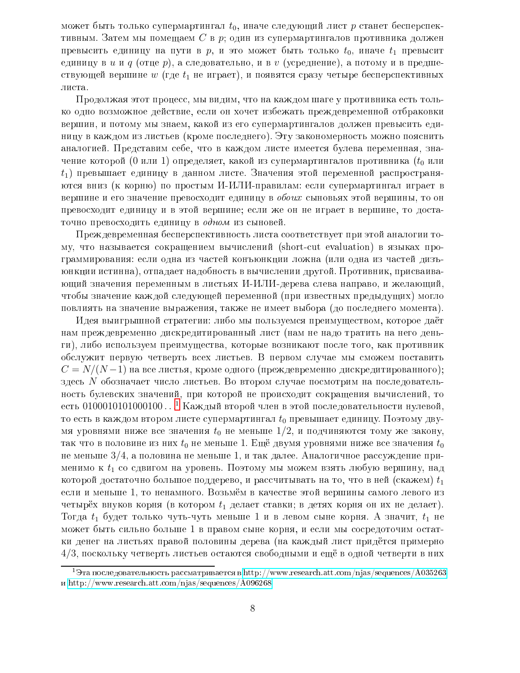может быть только супермартингал  $t_0$ , иначе следующий лист р станет бесперспективным. Затем мы помещаем С в р; один из супермартингалов противника должен превысить единицу на пути в р, и это может быть только  $t_0$ , иначе  $t_1$  превысит единицу в и и  $q$  (отце  $p$ ), а следовательно, и в  $v$  (усреднение), а потому и в предшествующей вершине  $w$  (где  $t_1$  не играет), и появятся сразу четыре бесперспективных листа.

Продолжая этот процесс, мы видим, что на каждом шаге у противника есть только одно возможное действие, если он хочет избежать преждевременной отбраковки вершин, и потому мы знаем, какой из его супермартингалов должен превысить единицу в каждом из листьев (кроме последнего). Эту закономерность можно пояснить аналогией. Представим себе, что в каждом листе имеется булева переменная, значение которой (0 или 1) определяет, какой из супермартингалов противника ( $t_0$  или  $t_1$ ) превышает единицу в данном листе. Значения этой переменной распространяются вниз (к корню) по простым И-ИЛИ-правилам: если супермартингал играет в вершине и его значение превосходит единицу в обоих сыновьях этой вершины, то он превосходит единицу и в этой вершине; если же он не играет в вершине, то достаточно превосходить единицу в одном из сыновей.

Преждевременная бесперспективность листа соответствует при этой аналогии тому, что называется сокращением вычислений (short-cut evaluation) в языках программирования: если одна из частей конъюнкции ложна (или одна из частей дизъюнкции истинна), отпадает надобность в вычислении другой. Противник, присваивающий значения переменным в листьях И-ИЛИ-дерева слева направо, и желающий, чтобы значение каждой следующей переменной (при известных предыдущих) могло повлиять на значение выражения, также не имеет выбора (до последнего момента).

Идея выигрышной стратегии: либо мы пользуемся преимуществом, которое даёт нам преждевременно дискредитированный лист (нам не надо тратить на него деньги), либо используем преимущества, которые возникают после того, как противник обслужит первую четверть всех листьев. В первом случае мы сможем поставить  $C = N/(N-1)$  на все листья, кроме одного (преждевременно дискредитированного); здесь N обозначает число листьев. Во втором случае посмотрим на последовательность булевских значений, при которой не происходит сокращения вычислений, то есть 0100010101000100...<sup>1</sup> Каждый второй член в этой последовательности нулевой, то есть в каждом втором листе супермартингал  $t_0$  превышает единицу. Поэтому двумя уровнями ниже все значения  $t_0$  не меньше  $1/2$ , и подчиняются тому же закону, так что в половине из них  $t_0$  не меньше 1. Ещё двумя уровнями ниже все значения  $t_0$ не меньше  $3/4$ , а половина не меньше 1, и так далее. Аналогичное рассуждение применимо к  $t_1$  со сдвигом на уровень. Поэтому мы можем взять любую вершину, над которой достаточно большое поддерево, и рассчитывать на то, что в ней (скажем)  $t_1$ если и меньше 1, то ненамного. Возьмём в качестве этой вершины самого левого из четырёх внуков корня (в котором  $t_1$  делает ставки; в детях корня он их не делает). Тогда  $t_1$  будет только чуть-чуть меньше 1 и в левом сыне корня. А значит,  $t_1$  не может быть сильно больше 1 в правом сыне корня, и если мы сосредоточим остатки денег на листьях правой половины дерева (на каждый лист придётся примерно  $4/3$ , поскольку четверть листьев остаются свободными и ещё в одной четверти в них

<span id="page-20-0"></span><sup>&</sup>lt;sup>1</sup>Эта последовательность рассматривается в http://www.research.att.com/njas/sequences/A035263  $\mu$  http://www.research.att.com/njas/sequences/A096268.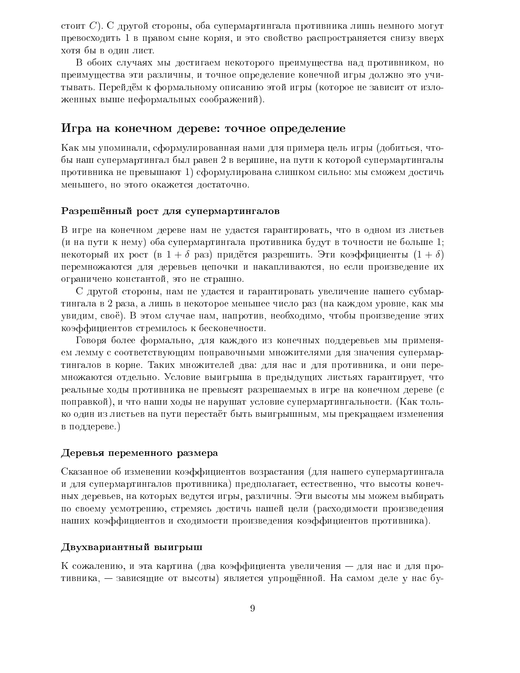стоит C). С другой стороны, оба супермартингала противника лишь немного могут превосходить 1 в правом сыне корня, и это свойство распространяется снизу вверх хотя бы в один лист.

В обоих случаях мы достигаем некоторого преимущества над противником, но преимущества эти различны, и точное определение конечной игры должно это учитывать. Перейдём к формальному описанию этой игры (которое не зависит от изложенных выше неформальных соображений).

### Игра на конечном дереве: точное определение

Как мы упоминали, сформулированная нами для примера цель игры (добиться, чтобы наш супермартингал был равен 2 в вершине, на пути к которой супермартингалы противника не превышают 1) сформулирована слишком сильно: мы сможем достичь меньшего, но этого окажется достаточно.

### Разрешённый рост для супермартингалов

В игре на конечном дереве нам не удастся гарантировать, что в одном из листьев (и на пути к нему) оба супермартингала противника будут в точности не больше 1; некоторый их рост (в  $1 + \delta$  раз) придётся разрешить. Эти коэффициенты  $(1 + \delta)$ перемножаются для деревьев цепочки и накапливаются, но если произведение их ограничено константой, это не страшно.

С другой стороны, нам не удастся и гарантировать увеличение нашего субмартингала в 2 раза, а лишь в некоторое меньшее число раз (на каждом уровне, как мы увидим, своё). В этом случае нам, напротив, необходимо, чтобы произведение этих коэффициентов стремилось к бесконечности.

Говоря более формально, для каждого из конечных поддеревьев мы применяем лемму с соответствующим поправочными множителями для значения супермартингалов в корне. Таких множителей два: для нас и для противника, и они перемножаются отдельно. Условие выигрыша в предыдущих листьях гарантирует, что реальные ходы противника не превысят разрешаемых в игре на конечном дереве (с поправкой), и что наши ходы не нарушат условие супермартингальности. (Как только один из листьев на пути перестаёт быть выигрышным, мы прекращаем изменения в поддереве.)

#### Деревья переменного размера

Сказанное об изменении коэффициентов возрастания (для нашего супермартингала и для супермартингалов противника) предполагает, естественно, что высоты конечных деревьев, на которых ведутся игры, различны. Эти высоты мы можем выбирать по своему усмотрению, стремясь достичь нашей цели (расходимости произведения наших коэффициентов и сходимости произведения коэффициентов противника).

### Двухвариантный выигрыш

К сожалению, и эта картина (два коэффициента увеличения – для нас и для противника, — зависящие от высоты) является упрощённой. На самом деле у нас бу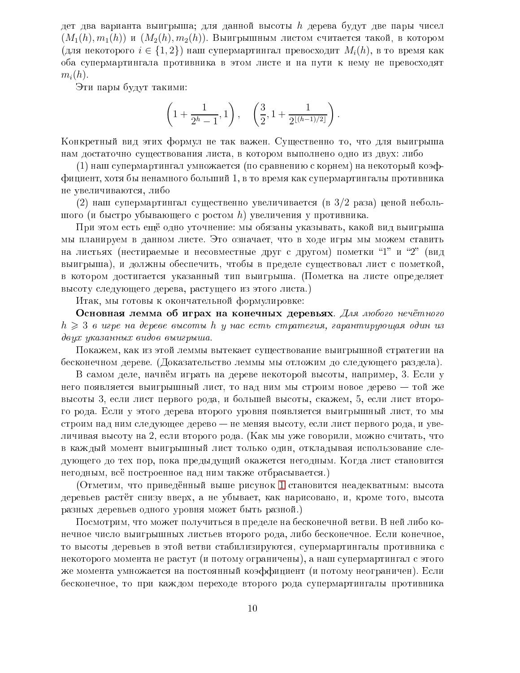дет два варианта выигрыша; для данной высоты  $h$  дерева будут две пары чисел  $(M_1(h), m_1(h))$  и  $(M_2(h), m_2(h))$ . Выигрышным листом считается такой, в котором  $(\text{для некогорого } i \in \{1,2\})$  наш супермартингал превосходит  $M_i(h)$ , в то время как оба супермартингала противника в этом листе и на пути к нему не превосходят  $m_i(h)$ .

Эти пары будут такими:

$$
\left(1+\frac{1}{2^h-1},1\right), \quad \left(\frac{3}{2},1+\frac{1}{2^{\lfloor (h-1)/2 \rfloor}}\right).
$$

Конкретный вид этих формул не так важен. Существенно то, что для выигрыша нам достаточно существования листа, в котором выполнено одно из двух: либо

(1) наш супермартингал умножается (по сравнению с корнем) на некоторый коэффициент, хотя бы ненамного больший 1, в то время как супермартингалы противника не увеличиваются, либо

(2) наш супермартингал существенно увеличивается (в  $3/2$  раза) ценой небольшого (и быстро убывающего с ростом h) увеличения у противника.

При этом есть ещё одно уточнение: мы обязаны указывать, какой вид выигрыша мы планируем в данном листе. Это означает, что в ходе игры мы можем ставить на листьях (нестираемые и несовместные друг с другом) пометки "1" и "2" (вид выигрыша), и должны обеспечить, чтобы в пределе существовал лист с пометкой, в котором достигается указанный тип выигрыша. (Пометка на листе определяет высоту следующего дерева, растущего из этого листа.)

Итак, мы готовы к окончательной формулировке:

Основная лемма об играх на конечных деревьях. Для любого нечётного  $h \geqslant 3$  в игре на дереве высоты h y нас есть стратегия, гарантирующая один из двух указанных видов выигрыша.

Покажем, как из этой леммы вытекает существование выигрышной стратегии на бесконечном дереве. (Доказательство леммы мы отложим до следующего раздела).

В самом деле, начнём играть на дереве некоторой высоты, например, 3. Если у него появляется выигрышный лист, то над ним мы строим новое дерево - той же высоты 3, если лист первого рода, и большей высоты, скажем, 5, если лист второго рода. Если у этого дерева второго уровня появляется выигрышный лист, то мы строим над ним следующее дерево - не меняя высоту, если лист первого рода, и увеличивая высоту на 2, если второго рода. (Как мы уже говорили, можно считать, что в каждый момент выигрышный лист только один, откладывая использование следующего до тех пор, пока предыдущий окажется негодным. Когда лист становится негодным, всё построенное над ним также отбрасывается.)

(Отметим, что приведённый выше рисунок 1 становится неадекватным: высота деревьев растёт снизу вверх, а не убывает, как нарисовано, и, кроме того, высота разных деревьев одного уровня может быть разной.)

Посмотрим, что может получиться в пределе на бесконечной ветви. В ней либо конечное число выигрышных листьев второго рода, либо бесконечное. Если конечное, то высоты деревьев в этой ветви стабилизируются, супермартингалы противника с некоторого момента не растут (и потому ограничены), а наш супермартингал с этого же момента умножается на постоянный коэффициент (и потому неограничен). Если бесконечное, то при каждом переходе второго рода супермартингалы противника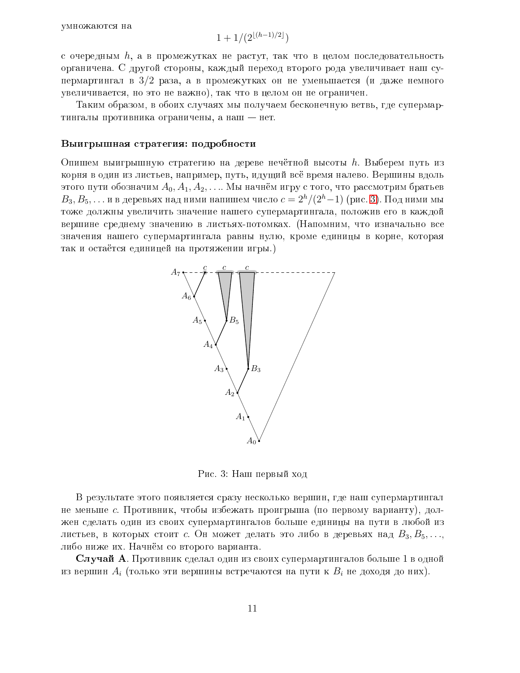$$
1 + 1/(2^{\lfloor (h-1)/2 \rfloor})
$$

с очередным  $h$ , а в промежутках не растут, так что в целом последовательность органичена. С другой стороны, каждый переход второго рода увеличивает наш супермартингал в  $3/2$  раза, а в промежутках он не уменьшается (и даже немного увеличивается, но это не важно), так что в целом он не ограничен.

Таким образом, в обоих случаях мы получаем бесконечную ветвь, где супермартингалы противника ограничены, а наш - нет.

#### Выигрышная стратегия: подробности

Опишем выигрышную стратегию на дереве нечётной высоты h. Выберем путь из корня в один из листьев, например, путь, идущий всё время налево. Вершины вдоль этого пути обозначим  $A_0, A_1, A_2, \ldots$  Мы начнём игру с того, что рассмотрим братьев  $B_3, B_5, \ldots$  и в деревьях над ними напишем число  $c = 2<sup>h</sup>/(2<sup>h</sup>-1)$  (рис. 3). Под ними мы тоже должны увеличить значение нашего супермартингала, положив его в каждой вершине среднему значению в листьях-потомках. (Напомним, что изначально все значения нашего супермартингала равны нулю, кроме единицы в корне, которая так и остаётся единицей на протяжении игры.)



<span id="page-23-0"></span>Рис. 3: Наш первый ход

В результате этого появляется сразу несколько вершин, где наш супермартингал не меньше с. Противник, чтобы избежать проигрыша (по первому варианту), должен сделать один из своих супермартингалов больше единицы на пути в любой из листьев, в которых стоит с. Он может делать это либо в деревьях над  $B_3, B_5, \ldots$ либо ниже их. Начнём со второго варианта.

Случай А. Противник сделал один из своих супермартингалов больше 1 в одной из вершин  $A_i$  (только эти вершины встречаются на пути к  $B_i$  не доходя до них).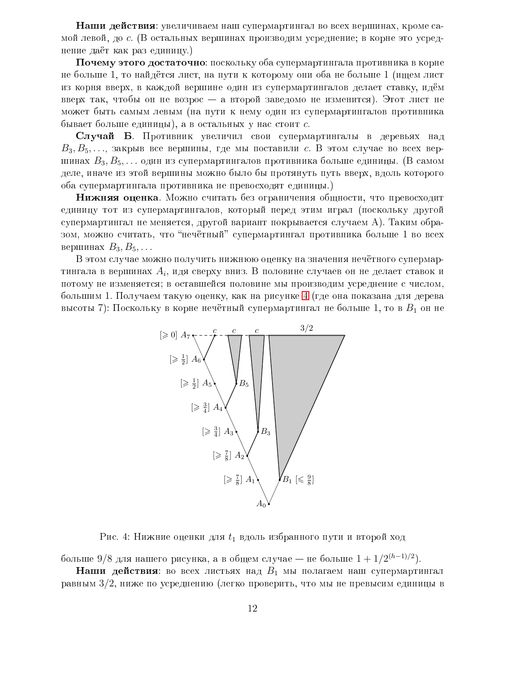Наши действия: увеличиваем наш супермартингал во всех вершинах, кроме самой левой, до с. (В остальных вершинах производим усреднение; в корне это усреднение даёт как раз единицу.)

 $\Pi$ очему этого достаточно: поскольку оба супермартингала противника в корне не больше 1, то найдётся лист, на пути к которому они оба не больше 1 (ищем лист из корня вверх, в каждой вершине один из супермартингалов делает ставку, идём вверх так, чтобы он не возрос – а второй заведомо не изменится). Этот лист не может быть самым левым (на пути к нему один из супермартингалов противника бывает больше единицы), а в остальных у нас стоит с.

Случай Б. Противник увеличил свои супермартингалы в деревьях над  $B_3, B_5, \ldots$ , закрыв все вершины, где мы поставили с. В этом случае во всех вершинах  $B_3, B_5, \ldots$  один из супермартингалов противника больше единицы. (В самом деле, иначе из этой вершины можно было бы протянуть путь вверх, вдоль которого оба супермартингала противника не превосходят единицы.)

**Нижняя оценка**. Можно считать без ограничения общности, что превосходит единицу тот из супермартингалов, который перед этим играл (поскольку другой супермартингал не меняется, другой вариант покрывается случаем А). Таким образом, можно считать, что "нечётный" супермартингал противника больше 1 во всех вершинах  $B_3, B_5, \ldots$ 

В этом случае можно получить нижнюю оценку на значения нечётного супермартингала в вершинах  $A_i$ , идя сверху вниз. В половине случаев он не делает ставок и потому не изменяется; в оставшейся половине мы производим усреднение с числом, большим 1. Получаем такую оценку, как на рисунке 4 (где она показана для дерева высоты 7): Поскольку в корне нечётный супермартингал не больше 1, то в  $B_1$  он не



<span id="page-24-0"></span>Рис. 4: Нижние оценки для  $t_1$  вдоль избранного пути и второй ход

больше 9/8 для нашего рисунка, а в общем случае — не больше  $1 + 1/2^{(h-1)/2}$ .

**Наши действия**: во всех листьях над  $B_1$  мы полагаем наш супермартингал равным  $3/2$ , ниже по усреднению (легко проверить, что мы не превысим единицы в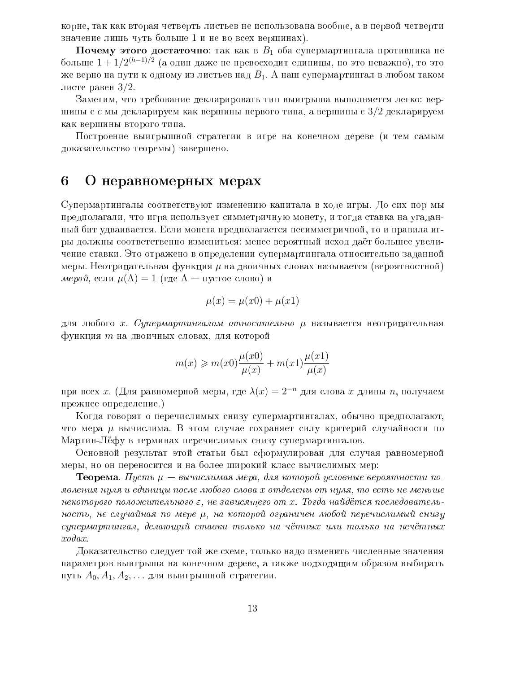корне, так как вторая четверть листьев не использована вообще, а в первой четверти значение лишь чуть больше 1 и не во всех вершинах).

Почему этого достаточно: так как в  $B_1$  оба супермартингала противника не больше  $1 + 1/2^{(h-1)/2}$  (а один даже не превосходит единицы, но это неважно), то это же верно на пути к одному из листьев над  $B_1$ . А наш супермартингал в любом таком листе равен  $3/2$ .

Заметим, что требование декларировать тип выигрыша выполняется легко: вершины с с мы декларируем как вершины первого типа, а вершины с  $3/2$  декларируем как вершины второго типа.

Построение выигрышной стратегии в игре на конечном дереве (и тем самым доказательство теоремы) завершено.

#### О неравномерных мерах 6

Супермартингалы соответствуют изменению капитала в ходе игры. До сих пор мы предполагали, что игра использует симметричную монету, и тогда ставка на угаданный бит удваивается. Если монета предполагается несимметричной, то и правила игры должны соответственно измениться: менее вероятный исход даёт большее увеличение ставки. Это отражено в определении супермартингала относительно заданной меры. Неотрицательная функция  $\mu$  на двоичных словах называется (вероятностной) мерой, если  $\mu(\Lambda) = 1$  (где  $\Lambda$  — пустое слово) и

$$
\mu(x) = \mu(x0) + \mu(x1)
$$

для любого х. Супермартингалом относительно и называется неотрицательная функция т на двоичных словах, для которой

$$
m(x) \ge m(x0)\frac{\mu(x0)}{\mu(x)} + m(x1)\frac{\mu(x1)}{\mu(x)}
$$

при всех *х*. (Для равномерной меры, где  $\lambda(x) = 2^{-n}$  для слова *х* длины *n*, получаем прежнее определение.)

Когда говорят о перечислимых снизу супермартингалах, обычно предполагают, что мера  $\mu$  вычислима. В этом случае сохраняет силу критерий случайности по Мартин-Лёфу в терминах перечислимых снизу супермартингалов.

Основной результат этой статьи был сформулирован для случая равномерной меры, но он переносится и на более широкий класс вычислимых мер:

**Теорема**. Пусть  $\mu$  — вычислимая мера, для которой условные вероятности появления нуля и единицы после любого слова х отделены от нуля, то есть не меньше некоторого положительного  $\varepsilon$ , не зависящего от х. Тогда найдётся последовательность, не случайная по мере  $\mu$ , на которой ограничен любой перечислимый снизу супермартингал, делающий ставки только на чётных или только на нечётных  $xodax$ .

Доказательство следует той же схеме, только надо изменить численные значения параметров выигрыша на конечном дереве, а также подходящим образом выбирать путь  $A_0, A_1, A_2, \ldots$  для выигрышной стратегии.